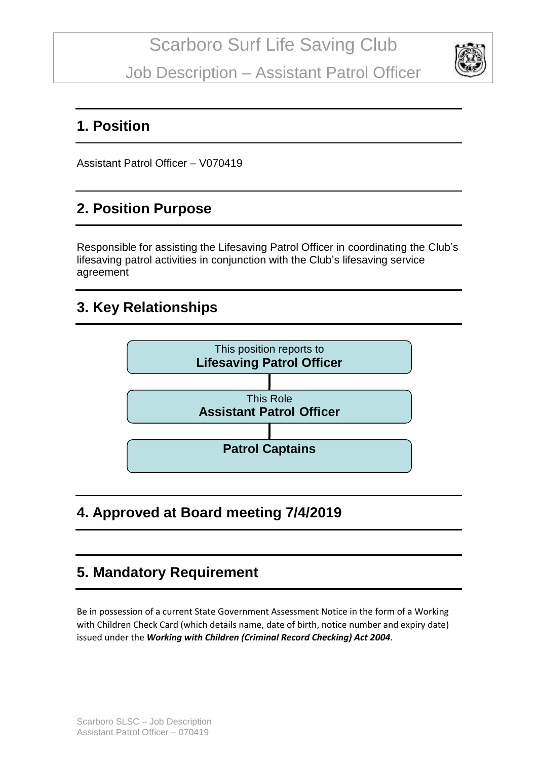Job Description – Assistant Patrol Officer



### **1. Position**

Assistant Patrol Officer – V070419

## **2. Position Purpose**

Responsible for assisting the Lifesaving Patrol Officer in coordinating the Club's lifesaving patrol activities in conjunction with the Club's lifesaving service agreement

### **3. Key Relationships**



**4. Approved at Board meeting 7/4/2019**

### **5. Mandatory Requirement**

Be in possession of a current State Government Assessment Notice in the form of a Working with Children Check Card (which details name, date of birth, notice number and expiry date) issued under the *Working with Children (Criminal Record Checking) Act 2004*.